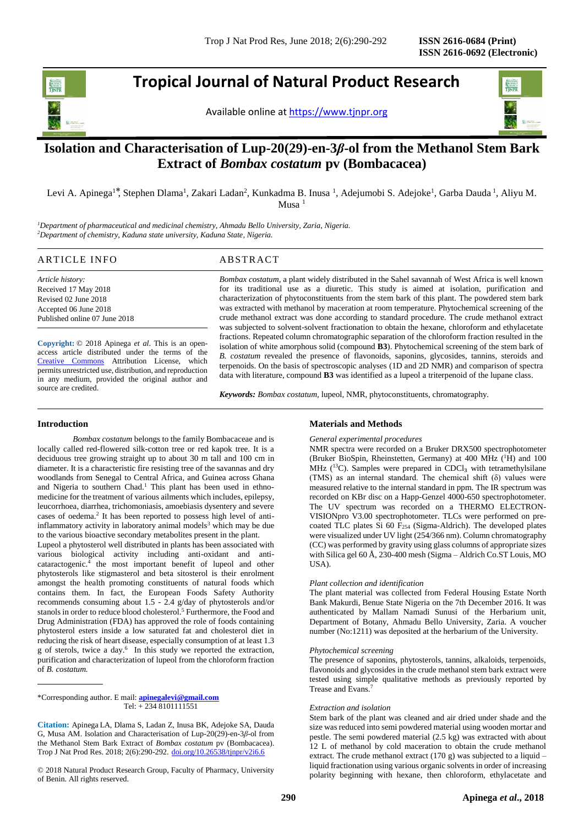j

**Tropical Journal of Natural Product Research**

Available online at [https://www.tjnpr.org](https://www.tjnpr.org/)



# **Isolation and Characterisation of Lup-20(29)-en-3***β***-ol from the Methanol Stem Bark Extract of** *Bombax costatum* **pv (Bombacacea)**

Levi A. Apinega<sup>1\*</sup>, Stephen Dlama<sup>1</sup>, Zakari Ladan<sup>2</sup>, Kunkadma B. Inusa <sup>1</sup>, Adejumobi S. Adejoke<sup>1</sup>, Garba Dauda <sup>1</sup>, Aliyu M.  $M$ usa<sup>1</sup>

*<sup>1</sup>Department of pharmaceutical and medicinal chemistry, Ahmadu Bello University, Zaria, Nigeria. <sup>2</sup>Department of chemistry, Kaduna state university, Kaduna State, Nigeria.*

# ARTICLE INFO ABSTRACT

*Article history:* Received 17 May 2018 Revised 02 June 2018 Accepted 06 June 2018 Published online 07 June 2018

**Copyright:** © 2018 Apinega *et al*. This is an openaccess article distributed under the terms of the [Creative Commons](https://creativecommons.org/licenses/by/4.0/) Attribution License, which permits unrestricted use, distribution, and reproduction in any medium, provided the original author and source are credited.

*Bombax costatum*, a plant widely distributed in the Sahel savannah of West Africa is well known for its traditional use as a diuretic. This study is aimed at isolation, purification and characterization of phytoconstituents from the stem bark of this plant. The powdered stem bark was extracted with methanol by maceration at room temperature. Phytochemical screening of the crude methanol extract was done according to standard procedure. The crude methanol extract was subjected to solvent-solvent fractionation to obtain the hexane, chloroform and ethylacetate fractions. Repeated column chromatographic separation of the chloroform fraction resulted in the isolation of white amorphous solid (compound **B3**). Phytochemical screening of the stem bark of *B. costatum* revealed the presence of flavonoids, saponins, glycosides, tannins, steroids and terpenoids. On the basis of spectroscopic analyses (1D and 2D NMR) and comparison of spectra data with literature, compound **B3** was identified as a lupeol a triterpenoid of the lupane class.

*Keywords: Bombax costatum,* lupeol, NMR, phytoconstituents, chromatography.

# **Introduction**

*Bombax costatum* belongs to the family Bombacaceae and is locally called red-flowered silk-cotton tree or red kapok tree. It is a deciduous tree growing straight up to about 30 m tall and 100 cm in diameter. It is a characteristic fire resisting tree of the savannas and dry woodlands from Senegal to Central Africa, and Guinea across Ghana and Nigeria to southern Chad.<sup>1</sup> This plant has been used in ethnomedicine for the treatment of various ailments which includes, epilepsy, leucorrhoea, diarrhea, trichomoniasis, amoebiasis dysentery and severe cases of oedema.<sup>2</sup> It has been reported to possess high level of antiinflammatory activity in laboratory animal models<sup>3</sup> which may be due to the various bioactive secondary metabolites present in the plant.

Lupeol a phytosterol well distributed in plants has been associated with various biological activity including anti-oxidant and anticataractogenic.<sup>4</sup> the most important benefit of lupeol and other phytosterols like stigmasterol and beta sitosterol is their enrolment amongst the health promoting constituents of natural foods which contains them. In fact, the European Foods Safety Authority recommends consuming about 1.5 - 2.4 g/day of phytosterols and/or stanols in order to reduce blood cholesterol.<sup>5</sup> Furthermore, the Food and Drug Administration (FDA) has approved the role of foods containing phytosterol esters inside a low saturated fat and cholesterol diet in reducing the risk of heart disease, especially consumption of at least 1.3 g of sterols, twice a day.<sup>6</sup> In this study we reported the extraction, purification and characterization of lupeol from the chloroform fraction of *B. costatum.*

\*Corresponding author. E mail: **[apinegalevi@gmail.com](mailto:apinegalevi@gmail.com)** Tel: + 234 8101111551

**Citation:** Apinega LA, Dlama S, Ladan Z, Inusa BK, Adejoke SA, Dauda G, Musa AM. Isolation and Characterisation of Lup-20(29)-en-3*β*-ol from the Methanol Stem Bark Extract of *Bombax costatum* pv (Bombacacea). Trop J Nat Prod Res. 2018; 2(6):290-292. [doi.org/10.26538/tjnpr/v2i6.6](http://www.doi.org/10.26538/tjnpr/v1i4.5)

© 2018 Natural Product Research Group, Faculty of Pharmacy, University of Benin. All rights reserved.

# **Materials and Methods**

#### *General experimental procedures*

NMR spectra were recorded on a Bruker DRX500 spectrophotometer (Bruker BioSpin, Rheinstetten, Germany) at 400 MHz (<sup>1</sup>H) and 100 MHz  $(^{13}C)$ . Samples were prepared in CDCl<sub>3</sub> with tetramethylsilane (TMS) as an internal standard. The chemical shift  $(\delta)$  values were measured relative to the internal standard in ppm. The IR spectrum was recorded on KBr disc on a Happ-Genzel 4000-650 spectrophotometer. The UV spectrum was recorded on a THERMO ELECTRON-VISIONpro V3.00 spectrophotometer. TLCs were performed on precoated TLC plates Si 60 F<sub>254</sub> (Sigma-Aldrich). The developed plates were visualized under UV light (254/366 nm). Column chromatography (CC) was performed by gravity using glass columns of appropriate sizes with Silica gel 60 Å, 230-400 mesh (Sigma – Aldrich Co.ST Louis, MO USA).

# *Plant collection and identification*

The plant material was collected from Federal Housing Estate North Bank Makurdi, Benue State Nigeria on the 7th December 2016. It was authenticated by Mallam Namadi Sunusi of the Herbarium unit, Department of Botany, Ahmadu Bello University, Zaria. A voucher number (No:1211) was deposited at the herbarium of the University.

# *Phytochemical screening*

The presence of saponins, phytosterols, tannins, alkaloids, terpenoids, flavonoids and glycosides in the crude methanol stem bark extract were tested using simple qualitative methods as previously reported by Trease and Evans.<sup>7</sup>

#### *Extraction and isolation*

Stem bark of the plant was cleaned and air dried under shade and the size was reduced into semi powdered material using wooden mortar and pestle. The semi powdered material (2.5 kg) was extracted with about 12 L of methanol by cold maceration to obtain the crude methanol extract. The crude methanol extract (170 g) was subjected to a liquid – liquid fractionation using various organic solvents in order of increasing polarity beginning with hexane, then chloroform, ethylacetate and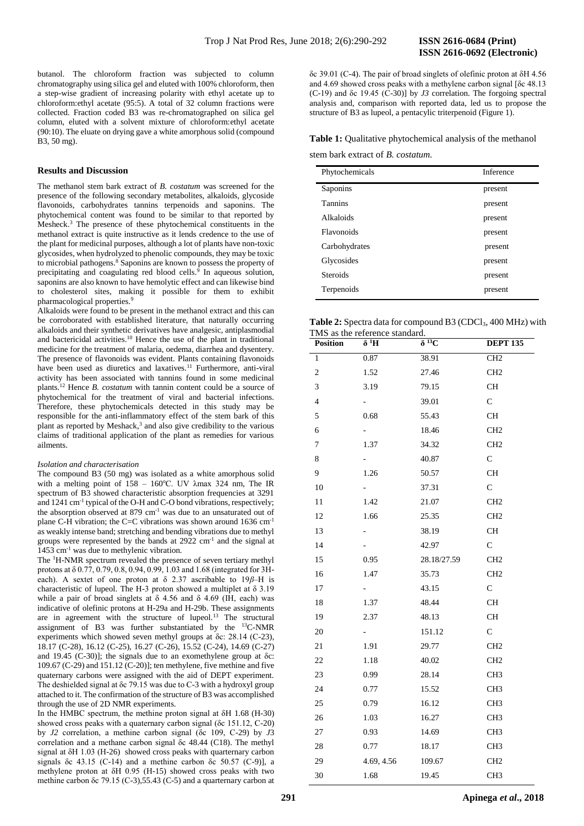butanol. The chloroform fraction was subjected to column chromatography using silica gel and eluted with 100% chloroform, then a step-wise gradient of increasing polarity with ethyl acetate up to chloroform:ethyl acetate (95:5). A total of 32 column fractions were collected. Fraction coded B3 was re-chromatographed on silica gel column, eluted with a solvent mixture of chloroform:ethyl acetate (90:10). The eluate on drying gave a white amorphous solid (compound B3, 50 mg).

# **Results and Discussion**

The methanol stem bark extract of *B. costatum* was screened for the presence of the following secondary metabolites, alkaloids, glycoside flavonoids, carbohydrates tannins terpenoids and saponins. The phytochemical content was found to be similar to that reported by Mesheck.<sup>3</sup> The presence of these phytochemical constituents in the methanol extract is quite instructive as it lends credence to the use of the plant for medicinal purposes, although a lot of plants have non-toxic glycosides, when hydrolyzed to phenolic compounds, they may be toxic to microbial pathogens.<sup>8</sup> Saponins are known to possess the property of precipitating and coagulating red blood cells.<sup>9</sup> In aqueous solution, saponins are also known to have hemolytic effect and can likewise bind to cholesterol sites, making it possible for them to exhibit pharmacological properties.<sup>9</sup>

Alkaloids were found to be present in the methanol extract and this can be corroborated with established literature, that naturally occurring alkaloids and their synthetic derivatives have analgesic, antiplasmodial and bactericidal activities.<sup>10</sup> Hence the use of the plant in traditional medicine for the treatment of malaria, oedema, diarrhea and dysentery. The presence of flavonoids was evident. Plants containing flavonoids have been used as diuretics and laxatives.<sup>11</sup> Furthermore, anti-viral activity has been associated with tannins found in some medicinal plants.<sup>12</sup> Hence *B. costatum* with tannin content could be a source of phytochemical for the treatment of viral and bacterial infections. Therefore, these phytochemicals detected in this study may be responsible for the anti-inflammatory effect of the stem bark of this plant as reported by Meshack,<sup>3</sup> and also give credibility to the various claims of traditional application of the plant as remedies for various ailments.

#### *Isolation and characterisation*

The compound B3 (50 mg) was isolated as a white amorphous solid with a melting point of  $158 - 160^{\circ}$ C. UV  $\lambda$ max 324 nm, The IR spectrum of B<sub>3</sub> showed characteristic absorption frequencies at 3291 and 1241 cm-1 typical of the O-H and C-O bond vibrations, respectively; the absorption observed at 879 cm<sup>-1</sup> was due to an unsaturated out of plane C-H vibration; the C=C vibrations was shown around  $1636 \text{ cm}^{-1}$ as weakly intense band; stretching and bending vibrations due to methyl groups were represented by the bands at 2922 cm<sup>-1</sup> and the signal at 1453 cm-1 was due to methylenic vibration.

The <sup>1</sup>H-NMR spectrum revealed the presence of seven tertiary methyl protons at δ 0.77, 0.79, 0.8, 0.94, 0.99, 1.03 and 1.68 (integrated for 3Heach). A sextet of one proton at δ 2.37 ascribable to 19*β*–H is characteristic of lupeol. The H-3 proton showed a multiplet at  $\delta$  3.19 while a pair of broad singlets at  $\delta$  4.56 and  $\delta$  4.69 (IH, each) was indicative of olefinic protons at H-29a and H-29b. These assignments are in agreement with the structure of lupeol.<sup>13</sup> The structural assignment of B3 was further substantiated by the <sup>13</sup>C-NMR experiments which showed seven methyl groups at δc: 28.14 (C-23), 18.17 (C-28), 16.12 (C-25), 16.27 (C-26), 15.52 (C-24), 14.69 (C-27) and 19.45 (C-30)]; the signals due to an exomethylene group at  $\delta$ c: 109.67 (C-29) and 151.12 (C-20)]; ten methylene, five methine and five quaternary carbons were assigned with the aid of DEPT experiment. The deshielded signal at δc 79.15 was due to C-3 with a hydroxyl group attached to it. The confirmation of the structure of B3 was accomplished through the use of 2D NMR experiments.

In the HMBC spectrum, the methine proton signal at δH 1.68 (H-30) showed cross peaks with a quaternary carbon signal (δc 151.12, C-20) by *J2* correlation, a methine carbon signal (δc 109, C-29) by *J*3 correlation and a methane carbon signal δc 48.44 (C18). The methyl signal at δH 1.03 (H-26) showed cross peaks with quarternary carbon signals δc 43.15 (C-14) and a methine carbon δc 50.57 (C-9)], a methylene proton at δH 0.95 (H-15) showed cross peaks with two methine carbon δc 79.15 (C-3),55.43 (C-5) and a quarternary carbon at

δc 39.01 (C-4). The pair of broad singlets of olefinic proton at δH 4.56 and 4.69 showed cross peaks with a methylene carbon signal [δc 48.13 (C-19) and δc 19.45 (C-30)] by *J3* correlation. The forgoing spectral analysis and, comparison with reported data, led us to propose the structure of B3 as lupeol, a pentacylic triterpenoid (Figure 1).

# **Table 1:** Qualitative phytochemical analysis of the methanol

stem bark extract of *B. costatum.*

| Phytochemicals    | Inference |
|-------------------|-----------|
| Saponins          | present   |
| <b>Tannins</b>    | present   |
| Alkaloids         | present   |
| <b>Flavonoids</b> | present   |
| Carbohydrates     | present   |
| Glycosides        | present   |
| <b>Steroids</b>   | present   |
| Terpenoids        | present   |

| <b>Table 2:</b> Spectra data for compound B3 (CDCl <sub>3</sub> , 400 MHz) with |  |
|---------------------------------------------------------------------------------|--|
| TMS as the reference standard.                                                  |  |

| <b>Position</b> | I MS as the reference standard.<br>$\delta^4H$ | $\delta^{13}C$ | <b>DEPT 135</b> |
|-----------------|------------------------------------------------|----------------|-----------------|
| 1               | 0.87                                           | 38.91          | CH <sub>2</sub> |
| $\sqrt{2}$      | 1.52                                           | 27.46          | CH <sub>2</sub> |
| 3               | 3.19                                           | 79.15          | <b>CH</b>       |
| $\overline{4}$  | $\sim$                                         | 39.01          | $\mathsf{C}$    |
| 5               | 0.68                                           | 55.43          | <b>CH</b>       |
| 6               | $\sim$                                         | 18.46          | CH <sub>2</sub> |
| 7               | 1.37                                           | 34.32          | CH <sub>2</sub> |
| 8               | 40                                             | 40.87          | C               |
| 9               | 1.26                                           | 50.57          | CН              |
| 10              | $\sim$                                         | 37.31          | $\mathbf C$     |
| 11              | 1.42                                           | 21.07          | CH <sub>2</sub> |
| 12              | 1.66                                           | 25.35          | CH <sub>2</sub> |
| 13              | ۰                                              | 38.19          | CH              |
| 14              | -                                              | 42.97          | $\mathbf C$     |
| 15              | 0.95                                           | 28.18/27.59    | CH <sub>2</sub> |
| 16              | 1.47                                           | 35.73          | CH <sub>2</sub> |
| 17              |                                                | 43.15          | $\mathsf C$     |
| 18              | 1.37                                           | 48.44          | CH              |
| 19              | 2.37                                           | 48.13          | <b>CH</b>       |
| 20              | - 1                                            | 151.12         | $\mathbf{C}$    |
| 21              | 1.91                                           | 29.77          | CH <sub>2</sub> |
| 22              | 1.18                                           | 40.02          | CH <sub>2</sub> |
| 23              | 0.99                                           | 28.14          | CH <sub>3</sub> |
| 24              | 0.77                                           | 15.52          | CH <sub>3</sub> |
| 25              | 0.79                                           | 16.12          | CH <sub>3</sub> |
| 26              | 1.03                                           | 16.27          | CH <sub>3</sub> |
| 27              | 0.93                                           | 14.69          | CH <sub>3</sub> |
| 28              | 0.77                                           | 18.17          | CH <sub>3</sub> |
| 29              | 4.69, 4.56                                     | 109.67         | CH <sub>2</sub> |
| 30              | 1.68                                           | 19.45          | CH <sub>3</sub> |